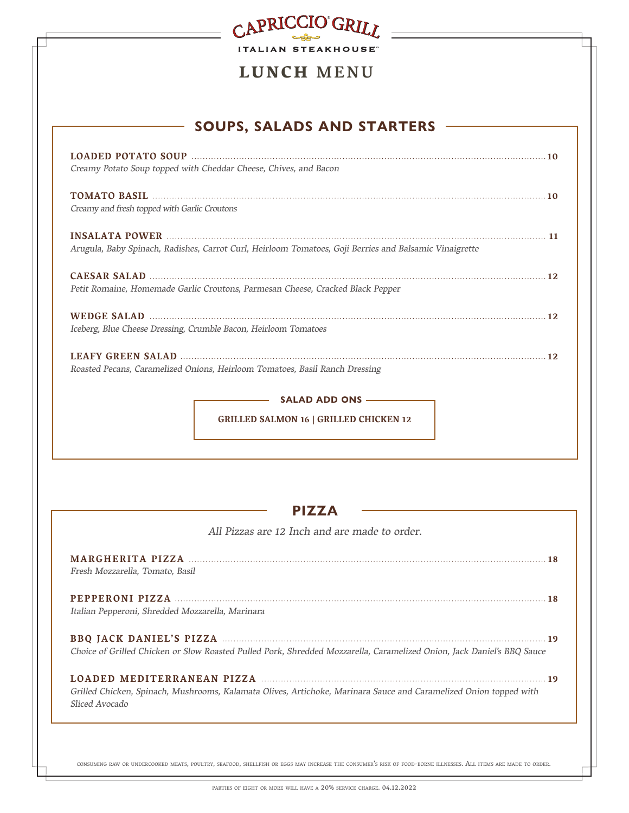| CAPRICCIO GRIT                                                                                         |  |
|--------------------------------------------------------------------------------------------------------|--|
| <b>ITALIAN STEAKHOUSE</b>                                                                              |  |
| LUNCH MENU                                                                                             |  |
| <b>SOUPS, SALADS AND STARTERS</b>                                                                      |  |
| Creamy Potato Soup topped with Cheddar Cheese, Chives, and Bacon                                       |  |
| Creamy and fresh topped with Garlic Croutons                                                           |  |
| Arugula, Baby Spinach, Radishes, Carrot Curl, Heirloom Tomatoes, Goji Berries and Balsamic Vinaigrette |  |
| Petit Romaine, Homemade Garlic Croutons, Parmesan Cheese, Cracked Black Pepper                         |  |
| Iceberg, Blue Cheese Dressing, Crumble Bacon, Heirloom Tomatoes                                        |  |
| Roasted Pecans, Caramelized Onions, Heirloom Tomatoes, Basil Ranch Dressing                            |  |
| <b>SALAD ADD ONS —</b>                                                                                 |  |
| <b>GRILLED SALMON 16   GRILLED CHICKEN 12</b>                                                          |  |
|                                                                                                        |  |
| <b>PIZZA</b>                                                                                           |  |
| All Pizzas are 12 Inch and are made to order.                                                          |  |
| Fresh Mozzarella, Tomato, Basil                                                                        |  |
| Italian Pepperoni, Shredded Mozzarella, Marinara                                                       |  |

**BBQ JACK DANIEL'S PIZZA 19** Choice of Grilled Chicken or Slow Roasted Pulled Pork, Shredded Mozzarella, Caramelized Onion, Jack Daniel's BBQ Sauce

### **LOADED MEDITERRANEAN PIZZA 19** Grilled Chicken, Spinach, Mushrooms, Kalamata Olives, Artichoke, Marinara Sauce and Caramelized Onion topped with Sliced Avocado

consuming raw or undercooked meats, poultry, seafood, shellfish or eggs may increase the consumer's risk of food-borne illnesses. All items are made to order.